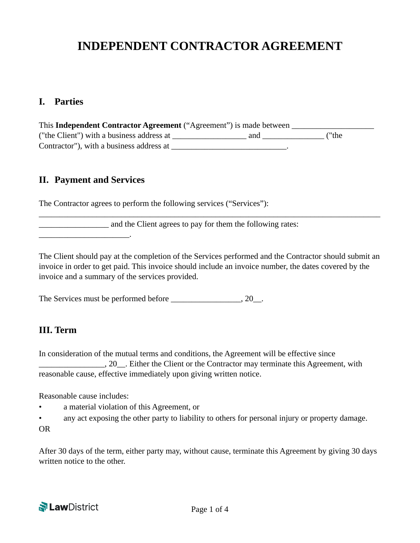# **INDEPENDENT CONTRACTOR AGREEMENT**

#### **I. Parties**

This Independent Contractor Agreement ("Agreement") is made between **we are also also also also also also also a** ("the Client") with a business address at \_\_\_\_\_\_\_\_\_\_\_\_\_\_\_\_\_\_ and \_\_\_\_\_\_\_\_\_\_\_\_\_\_\_ ("the Contractor"), with a business address at \_\_\_\_\_\_\_\_\_\_\_\_\_\_\_\_\_\_\_\_\_\_\_\_\_\_\_\_.

#### **II. Payment and Services**

\_\_\_\_\_\_\_\_\_\_\_\_\_\_\_\_\_\_\_\_\_\_.

The Contractor agrees to perform the following services ("Services"):

and the Client agrees to pay for them the following rates:

The Client should pay at the completion of the Services performed and the Contractor should submit an invoice in order to get paid. This invoice should include an invoice number, the dates covered by the invoice and a summary of the services provided.

\_\_\_\_\_\_\_\_\_\_\_\_\_\_\_\_\_\_\_\_\_\_\_\_\_\_\_\_\_\_\_\_\_\_\_\_\_\_\_\_\_\_\_\_\_\_\_\_\_\_\_\_\_\_\_\_\_\_\_\_\_\_\_\_\_\_\_\_\_\_\_\_\_\_\_\_\_\_\_\_\_\_\_

The Services must be performed before \_\_\_\_\_\_\_\_\_\_\_\_\_\_\_\_, 20\_.

#### **III. Term**

In consideration of the mutual terms and conditions, the Agreement will be effective since  $\Box$ , 20, Either the Client or the Contractor may terminate this Agreement, with reasonable cause, effective immediately upon giving written notice.

Reasonable cause includes:

- a material violation of this Agreement, or
- any act exposing the other party to liability to others for personal injury or property damage.

OR

After 30 days of the term, either party may, without cause, terminate this Agreement by giving 30 days written notice to the other.

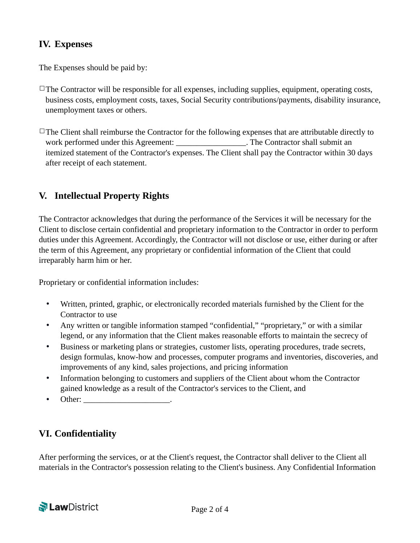# **IV. Expenses**

The Expenses should be paid by:

- $\Box$ The Contractor will be responsible for all expenses, including supplies, equipment, operating costs, business costs, employment costs, taxes, Social Security contributions/payments, disability insurance, unemployment taxes or others.
- $\Box$ The Client shall reimburse the Contractor for the following expenses that are attributable directly to work performed under this Agreement: The Contractor shall submit an itemized statement of the Contractor's expenses. The Client shall pay the Contractor within 30 days after receipt of each statement.

# **V. Intellectual Property Rights**

The Contractor acknowledges that during the performance of the Services it will be necessary for the Client to disclose certain confidential and proprietary information to the Contractor in order to perform duties under this Agreement. Accordingly, the Contractor will not disclose or use, either during or after the term of this Agreement, any proprietary or confidential information of the Client that could irreparably harm him or her.

Proprietary or confidential information includes:

- Written, printed, graphic, or electronically recorded materials furnished by the Client for the Contractor to use
- Any written or tangible information stamped "confidential," "proprietary," or with a similar legend, or any information that the Client makes reasonable efforts to maintain the secrecy of
- Business or marketing plans or strategies, customer lists, operating procedures, trade secrets, design formulas, know-how and processes, computer programs and inventories, discoveries, and improvements of any kind, sales projections, and pricing information
- Information belonging to customers and suppliers of the Client about whom the Contractor gained knowledge as a result of the Contractor's services to the Client, and
- Other:

# **VI. Confidentiality**

After performing the services, or at the Client's request, the Contractor shall deliver to the Client all materials in the Contractor's possession relating to the Client's business. Any Confidential Information

**N** LawDistrict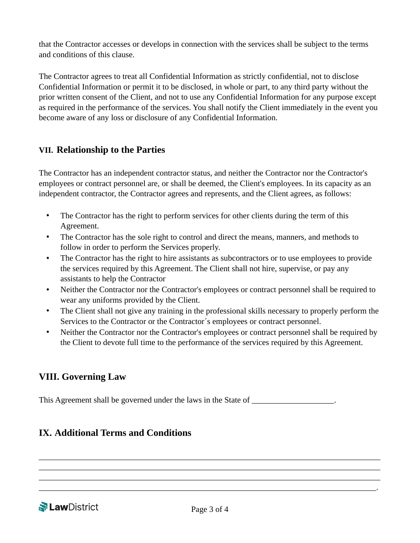that the Contractor accesses or develops in connection with the services shall be subject to the terms and conditions of this clause.

The Contractor agrees to treat all Confidential Information as strictly confidential, not to disclose Confidential Information or permit it to be disclosed, in whole or part, to any third party without the prior written consent of the Client, and not to use any Confidential Information for any purpose except as required in the performance of the services. You shall notify the Client immediately in the event you become aware of any loss or disclosure of any Confidential Information.

#### **VII. Relationship to the Parties**

The Contractor has an independent contractor status, and neither the Contractor nor the Contractor's employees or contract personnel are, or shall be deemed, the Client's employees. In its capacity as an independent contractor, the Contractor agrees and represents, and the Client agrees, as follows:

- The Contractor has the right to perform services for other clients during the term of this Agreement.
- The Contractor has the sole right to control and direct the means, manners, and methods to follow in order to perform the Services properly.
- The Contractor has the right to hire assistants as subcontractors or to use employees to provide the services required by this Agreement. The Client shall not hire, supervise, or pay any assistants to help the Contractor
- Neither the Contractor nor the Contractor's employees or contract personnel shall be required to wear any uniforms provided by the Client.
- The Client shall not give any training in the professional skills necessary to properly perform the Services to the Contractor or the Contractor´s employees or contract personnel.
- Neither the Contractor nor the Contractor's employees or contract personnel shall be required by the Client to devote full time to the performance of the services required by this Agreement.

# **VIII. Governing Law**

This Agreement shall be governed under the laws in the State of  $\blacksquare$ 

# **IX. Additional Terms and Conditions**

\_\_\_\_\_\_\_\_\_\_\_\_\_\_\_\_\_\_\_\_\_\_\_\_\_\_\_\_\_\_\_\_\_\_\_\_\_\_\_\_\_\_\_\_\_\_\_\_\_\_\_\_\_\_\_\_\_\_\_\_\_\_\_\_\_\_\_\_\_\_\_\_\_\_\_\_\_\_\_\_\_\_\_ \_\_\_\_\_\_\_\_\_\_\_\_\_\_\_\_\_\_\_\_\_\_\_\_\_\_\_\_\_\_\_\_\_\_\_\_\_\_\_\_\_\_\_\_\_\_\_\_\_\_\_\_\_\_\_\_\_\_\_\_\_\_\_\_\_\_\_\_\_\_\_\_\_\_\_\_\_\_\_\_\_\_\_ \_\_\_\_\_\_\_\_\_\_\_\_\_\_\_\_\_\_\_\_\_\_\_\_\_\_\_\_\_\_\_\_\_\_\_\_\_\_\_\_\_\_\_\_\_\_\_\_\_\_\_\_\_\_\_\_\_\_\_\_\_\_\_\_\_\_\_\_\_\_\_\_\_\_\_\_\_\_\_\_\_\_\_ \_\_\_\_\_\_\_\_\_\_\_\_\_\_\_\_\_\_\_\_\_\_\_\_\_\_\_\_\_\_\_\_\_\_\_\_\_\_\_\_\_\_\_\_\_\_\_\_\_\_\_\_\_\_\_\_\_\_\_\_\_\_\_\_\_\_\_\_\_\_\_\_\_\_\_\_\_\_\_\_\_\_.